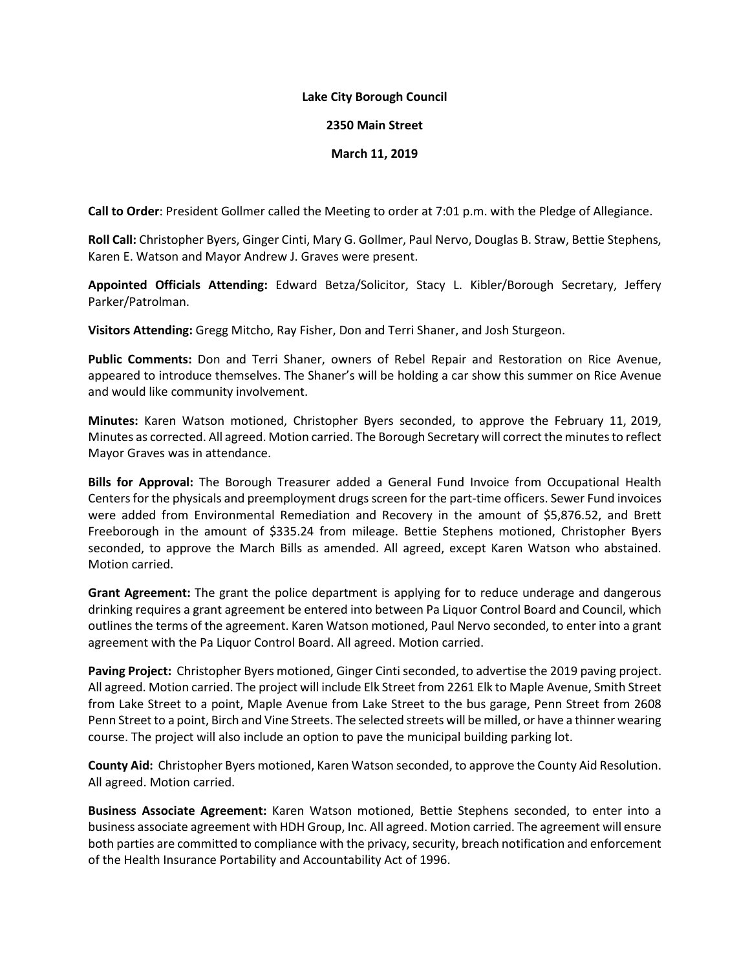## **Lake City Borough Council**

## **2350 Main Street**

## **March 11, 2019**

**Call to Order**: President Gollmer called the Meeting to order at 7:01 p.m. with the Pledge of Allegiance.

**Roll Call:** Christopher Byers, Ginger Cinti, Mary G. Gollmer, Paul Nervo, Douglas B. Straw, Bettie Stephens, Karen E. Watson and Mayor Andrew J. Graves were present.

**Appointed Officials Attending:** Edward Betza/Solicitor, Stacy L. Kibler/Borough Secretary, Jeffery Parker/Patrolman.

**Visitors Attending:** Gregg Mitcho, Ray Fisher, Don and Terri Shaner, and Josh Sturgeon.

**Public Comments:** Don and Terri Shaner, owners of Rebel Repair and Restoration on Rice Avenue, appeared to introduce themselves. The Shaner's will be holding a car show this summer on Rice Avenue and would like community involvement.

**Minutes:** Karen Watson motioned, Christopher Byers seconded, to approve the February 11, 2019, Minutes as corrected. All agreed. Motion carried. The Borough Secretary will correct the minutes to reflect Mayor Graves was in attendance.

**Bills for Approval:** The Borough Treasurer added a General Fund Invoice from Occupational Health Centers for the physicals and preemployment drugs screen for the part-time officers. Sewer Fund invoices were added from Environmental Remediation and Recovery in the amount of \$5,876.52, and Brett Freeborough in the amount of \$335.24 from mileage. Bettie Stephens motioned, Christopher Byers seconded, to approve the March Bills as amended. All agreed, except Karen Watson who abstained. Motion carried.

**Grant Agreement:** The grant the police department is applying for to reduce underage and dangerous drinking requires a grant agreement be entered into between Pa Liquor Control Board and Council, which outlines the terms of the agreement. Karen Watson motioned, Paul Nervo seconded, to enter into a grant agreement with the Pa Liquor Control Board. All agreed. Motion carried.

**Paving Project:** Christopher Byers motioned, Ginger Cinti seconded, to advertise the 2019 paving project. All agreed. Motion carried. The project will include Elk Street from 2261 Elk to Maple Avenue, Smith Street from Lake Street to a point, Maple Avenue from Lake Street to the bus garage, Penn Street from 2608 Penn Street to a point, Birch and Vine Streets. The selected streets will be milled, or have a thinner wearing course. The project will also include an option to pave the municipal building parking lot.

**County Aid:** Christopher Byers motioned, Karen Watson seconded, to approve the County Aid Resolution. All agreed. Motion carried.

**Business Associate Agreement:** Karen Watson motioned, Bettie Stephens seconded, to enter into a business associate agreement with HDH Group, Inc. All agreed. Motion carried. The agreement will ensure both parties are committed to compliance with the privacy, security, breach notification and enforcement of the Health Insurance Portability and Accountability Act of 1996.